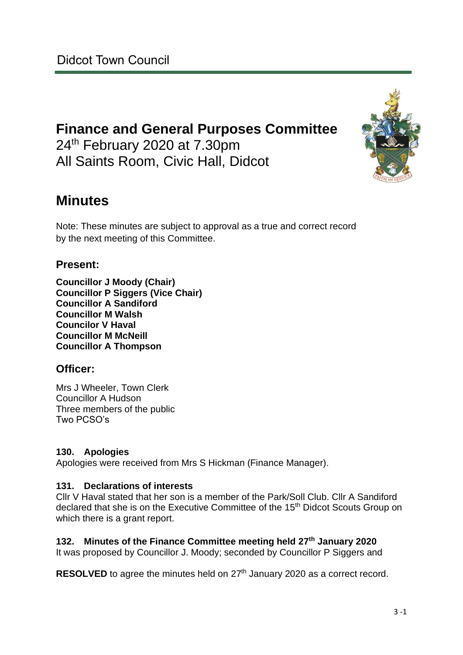# **Finance and General Purposes Committee** 24<sup>th</sup> February 2020 at 7.30pm All Saints Room, Civic Hall, Didcot

# **Minutes**

Note: These minutes are subject to approval as a true and correct record by the next meeting of this Committee.

## **Present:**

**Councillor J Moody (Chair) Councillor P Siggers (Vice Chair) Councillor A Sandiford Councillor M Walsh Councilor V Haval Councillor M McNeill Councillor A Thompson**

## **Officer:**

Mrs J Wheeler, Town Clerk Councillor A Hudson Three members of the public Two PCSO's

## **130. Apologies**

Apologies were received from Mrs S Hickman (Finance Manager).

## **131. Declarations of interests**

Cllr V Haval stated that her son is a member of the Park/Soll Club. Cllr A Sandiford declared that she is on the Executive Committee of the 15<sup>th</sup> Didcot Scouts Group on which there is a grant report.

## **132. Minutes of the Finance Committee meeting held 27th January 2020**

It was proposed by Councillor J. Moody; seconded by Councillor P Siggers and

**RESOLVED** to agree the minutes held on 27<sup>th</sup> January 2020 as a correct record.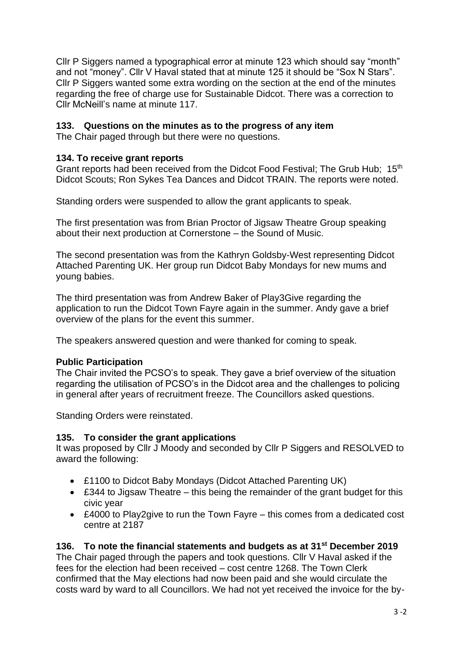Cllr P Siggers named a typographical error at minute 123 which should say "month" and not "money". Cllr V Haval stated that at minute 125 it should be "Sox N Stars". Cllr P Siggers wanted some extra wording on the section at the end of the minutes regarding the free of charge use for Sustainable Didcot. There was a correction to Cllr McNeill's name at minute 117.

## **133. Questions on the minutes as to the progress of any item**

The Chair paged through but there were no questions.

## **134. To receive grant reports**

Grant reports had been received from the Didcot Food Festival; The Grub Hub; 15<sup>th</sup> Didcot Scouts; Ron Sykes Tea Dances and Didcot TRAIN. The reports were noted.

Standing orders were suspended to allow the grant applicants to speak.

The first presentation was from Brian Proctor of Jigsaw Theatre Group speaking about their next production at Cornerstone – the Sound of Music.

The second presentation was from the Kathryn Goldsby-West representing Didcot Attached Parenting UK. Her group run Didcot Baby Mondays for new mums and young babies.

The third presentation was from Andrew Baker of Play3Give regarding the application to run the Didcot Town Fayre again in the summer. Andy gave a brief overview of the plans for the event this summer.

The speakers answered question and were thanked for coming to speak.

## **Public Participation**

The Chair invited the PCSO's to speak. They gave a brief overview of the situation regarding the utilisation of PCSO's in the Didcot area and the challenges to policing in general after years of recruitment freeze. The Councillors asked questions.

Standing Orders were reinstated.

## **135. To consider the grant applications**

It was proposed by Cllr J Moody and seconded by Cllr P Siggers and RESOLVED to award the following:

- £1100 to Didcot Baby Mondays (Didcot Attached Parenting UK)
- £344 to Jigsaw Theatre this being the remainder of the grant budget for this civic year
- £4000 to Play2give to run the Town Fayre this comes from a dedicated cost centre at 2187

## **136. To note the financial statements and budgets as at 31st December 2019**

The Chair paged through the papers and took questions. Cllr V Haval asked if the fees for the election had been received – cost centre 1268. The Town Clerk confirmed that the May elections had now been paid and she would circulate the costs ward by ward to all Councillors. We had not yet received the invoice for the by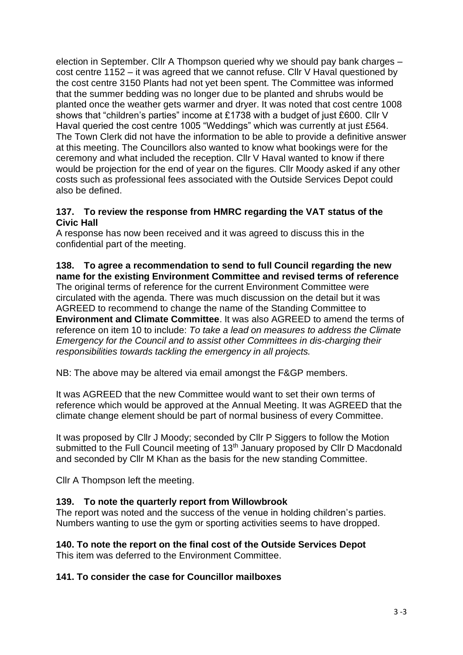election in September. Cllr A Thompson queried why we should pay bank charges – cost centre 1152 – it was agreed that we cannot refuse. Cllr V Haval questioned by the cost centre 3150 Plants had not yet been spent. The Committee was informed that the summer bedding was no longer due to be planted and shrubs would be planted once the weather gets warmer and dryer. It was noted that cost centre 1008 shows that "children's parties" income at £1738 with a budget of just £600. Cllr V Haval queried the cost centre 1005 "Weddings" which was currently at just £564. The Town Clerk did not have the information to be able to provide a definitive answer at this meeting. The Councillors also wanted to know what bookings were for the ceremony and what included the reception. Cllr V Haval wanted to know if there would be projection for the end of year on the figures. Cllr Moody asked if any other costs such as professional fees associated with the Outside Services Depot could also be defined.

#### **137. To review the response from HMRC regarding the VAT status of the Civic Hall**

A response has now been received and it was agreed to discuss this in the confidential part of the meeting.

#### **138. To agree a recommendation to send to full Council regarding the new name for the existing Environment Committee and revised terms of reference** The original terms of reference for the current Environment Committee were

circulated with the agenda. There was much discussion on the detail but it was AGREED to recommend to change the name of the Standing Committee to **Environment and Climate Committee**. It was also AGREED to amend the terms of reference on item 10 to include: *To take a lead on measures to address the Climate Emergency for the Council and to assist other Committees in dis-charging their responsibilities towards tackling the emergency in all projects.* 

NB: The above may be altered via email amongst the F&GP members.

It was AGREED that the new Committee would want to set their own terms of reference which would be approved at the Annual Meeting. It was AGREED that the climate change element should be part of normal business of every Committee.

It was proposed by Cllr J Moody; seconded by Cllr P Siggers to follow the Motion submitted to the Full Council meeting of 13<sup>th</sup> January proposed by Cllr D Macdonald and seconded by Cllr M Khan as the basis for the new standing Committee.

Cllr A Thompson left the meeting.

## **139. To note the quarterly report from Willowbrook**

The report was noted and the success of the venue in holding children's parties. Numbers wanting to use the gym or sporting activities seems to have dropped.

# **140. To note the report on the final cost of the Outside Services Depot**

This item was deferred to the Environment Committee.

#### **141. To consider the case for Councillor mailboxes**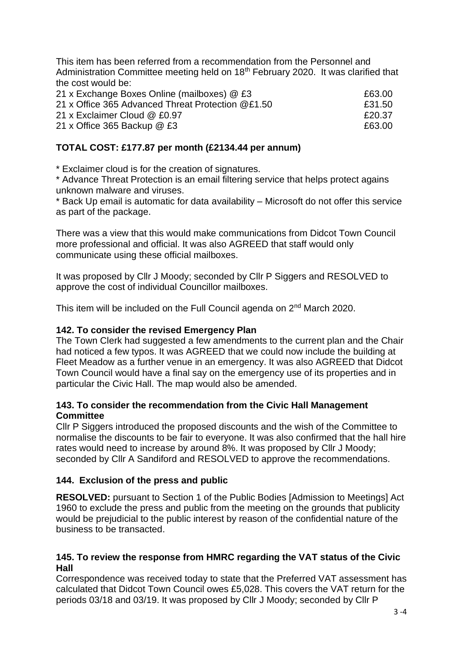This item has been referred from a recommendation from the Personnel and Administration Committee meeting held on  $18<sup>th</sup>$  February 2020. It was clarified that the cost would be:

| 21 x Exchange Boxes Online (mailboxes) @ £3                                                                        | £63.00           |
|--------------------------------------------------------------------------------------------------------------------|------------------|
| 21 x Office 365 Advanced Threat Protection @£1.50<br>21 x Exclaimer Cloud @ £0.97<br>21 x Office 365 Backup $@$ £3 | £31.50<br>£20.37 |
|                                                                                                                    |                  |

## **TOTAL COST: £177.87 per month (£2134.44 per annum)**

\* Exclaimer cloud is for the creation of signatures.

\* Advance Threat Protection is an email filtering service that helps protect agains unknown malware and viruses.

\* Back Up email is automatic for data availability – Microsoft do not offer this service as part of the package.

There was a view that this would make communications from Didcot Town Council more professional and official. It was also AGREED that staff would only communicate using these official mailboxes.

It was proposed by Cllr J Moody; seconded by Cllr P Siggers and RESOLVED to approve the cost of individual Councillor mailboxes.

This item will be included on the Full Council agenda on 2<sup>nd</sup> March 2020.

## **142. To consider the revised Emergency Plan**

The Town Clerk had suggested a few amendments to the current plan and the Chair had noticed a few typos. It was AGREED that we could now include the building at Fleet Meadow as a further venue in an emergency. It was also AGREED that Didcot Town Council would have a final say on the emergency use of its properties and in particular the Civic Hall. The map would also be amended.

### **143. To consider the recommendation from the Civic Hall Management Committee**

Cllr P Siggers introduced the proposed discounts and the wish of the Committee to normalise the discounts to be fair to everyone. It was also confirmed that the hall hire rates would need to increase by around 8%. It was proposed by Cllr J Moody; seconded by Cllr A Sandiford and RESOLVED to approve the recommendations.

## **144. Exclusion of the press and public**

**RESOLVED:** pursuant to Section 1 of the Public Bodies [Admission to Meetings] Act 1960 to exclude the press and public from the meeting on the grounds that publicity would be prejudicial to the public interest by reason of the confidential nature of the business to be transacted.

#### **145. To review the response from HMRC regarding the VAT status of the Civic Hall**

Correspondence was received today to state that the Preferred VAT assessment has calculated that Didcot Town Council owes £5,028. This covers the VAT return for the periods 03/18 and 03/19. It was proposed by Cllr J Moody; seconded by Cllr P